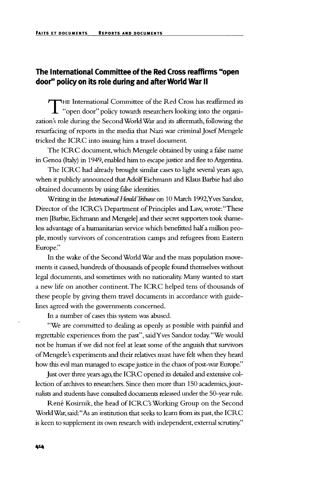## **The International Committee of the Red Cross reaffirms "open door" policy on its role during and after World War II**

THE International Committee of the Red Cross has reaffirmed its<br>"open door" policy towards researchers looking into the organization's role during the Second World War and its aftermath, following the resurfacing of reports in the media that Nazi war criminal Josef Mengele tricked the ICRC into issuing him a travel document.

The ICRC document, which Mengele obtained by using a false name in Genoa (Italy) in 1949, enabled him to escape justice and flee to Argentina.

The ICRC had already brought similar cases to light several years ago, when it publicly announced that Adolf Eichmann and Klaus Barbie had also obtained documents by using false identities.

Writing in the *International Herald Tribune* on 10 March 1992,Yves Sandoz, Director of the ICRC's Department of Principles and Law, wrote: "These men [Barbie, Eichmann and Mengele] and their secret supporters took shameless advantage of a humanitarian service which benefitted half a million people, mostly survivors of concentration camps and refugees from Eastern Europe."

In the wake of the Second World War and the mass population movements it caused, hundreds of thousands of people found themselves without legal documents, and sometimes with no nationality. Many wanted to start a new life on another continent. The ICRC helped tens of thousands of these people by giving them travel documents in accordance with guidelines agreed with the governments concerned.

In a number of cases this system was abused.

"We are committed to dealing as openly as possible with painful and regrettable experiences from the past", saidYves Sandoz today."We would not be human if we did not feel at least some of the anguish that survivors of Mengele's experiments and their relatives must have felt when they heard how this evil man managed to escape justice in the chaos of post-war Europe."

Just over three years ago, the ICRC opened its detailed and extensive collection of archives to researchers. Since then more than 150 academics, journalists and students have consulted documents released under the 50-year rule.

René Kosirnik, the head of ICRC's Working Group on the Second World War, said: "As an institution that seeks to learn from its past, the ICRC is keen to supplement its own research with independent, external scrutiny."